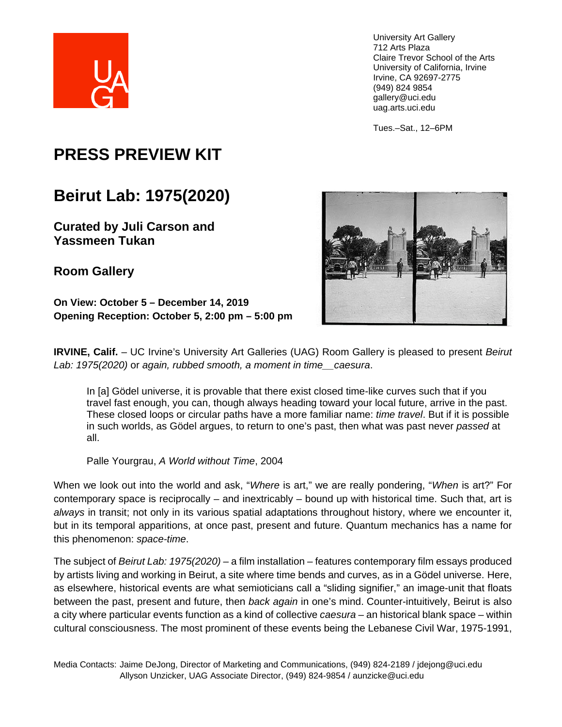

Tues.–Sat., 12–6PM

# **PRESS PREVIEW KIT**

# **Beirut Lab: 1975(2020)**

**Curated by Juli Carson and Yassmeen Tukan**

**Room Gallery** 

**On View: October 5 – December 14, 2019 Opening Reception: October 5, 2:00 pm – 5:00 pm**



**IRVINE, Calif.** – UC Irvine's University Art Galleries (UAG) Room Gallery is pleased to present *Beirut Lab: 1975(2020)* or *again, rubbed smooth, a moment in time\_\_caesura*.

In [a] Gödel universe, it is provable that there exist closed time-like curves such that if you travel fast enough, you can, though always heading toward your local future, arrive in the past. These closed loops or circular paths have a more familiar name: *time travel*. But if it is possible in such worlds, as Gödel argues, to return to one's past, then what was past never *passed* at all.

Palle Yourgrau, *A World without Time*, 2004

When we look out into the world and ask, "*Where* is art," we are really pondering, "*When* is art?" For contemporary space is reciprocally – and inextricably – bound up with historical time. Such that, art is *always* in transit; not only in its various spatial adaptations throughout history, where we encounter it, but in its temporal apparitions, at once past, present and future. Quantum mechanics has a name for this phenomenon: *space-time*.

The subject of *Beirut Lab: 1975(2020) –* a film installation *–* features contemporary film essays produced by artists living and working in Beirut, a site where time bends and curves, as in a Gödel universe. Here, as elsewhere, historical events are what semioticians call a "sliding signifier," an image-unit that floats between the past, present and future, then *back again* in one's mind. Counter-intuitively, Beirut is also a city where particular events function as a kind of collective *caesura –* an historical blank space *–* within cultural consciousness. The most prominent of these events being the Lebanese Civil War, 1975-1991,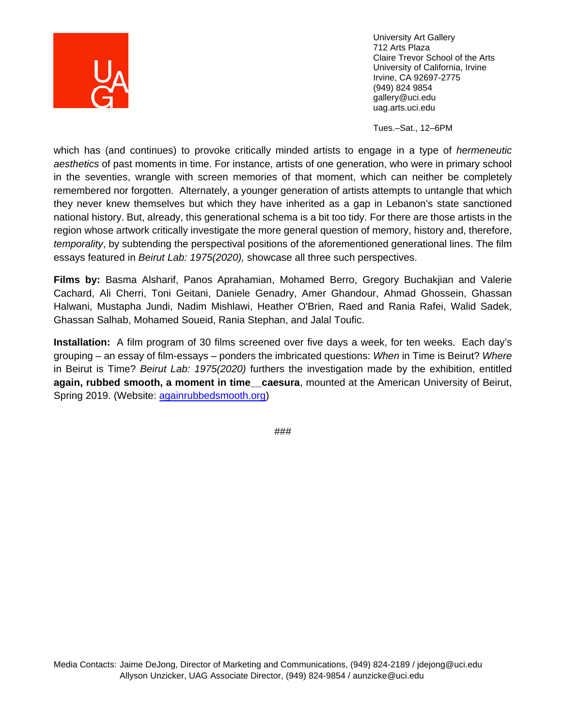

Tues.–Sat., 12–6PM

which has (and continues) to provoke critically minded artists to engage in a type of *hermeneutic aesthetics* of past moments in time. For instance, artists of one generation, who were in primary school in the seventies, wrangle with screen memories of that moment, which can neither be completely remembered nor forgotten. Alternately, a younger generation of artists attempts to untangle that which they never knew themselves but which they have inherited as a gap in Lebanon's state sanctioned national history. But, already, this generational schema is a bit too tidy. For there are those artists in the region whose artwork critically investigate the more general question of memory, history and, therefore, *temporality*, by subtending the perspectival positions of the aforementioned generational lines. The film essays featured in *Beirut Lab: 1975(2020),* showcase all three such perspectives.

**Films by:** Basma Alsharif, Panos Aprahamian, Mohamed Berro, Gregory Buchakjian and Valerie Cachard, Ali Cherri, Toni Geitani, Daniele Genadry, Amer Ghandour, Ahmad Ghossein, Ghassan Halwani, Mustapha Jundi, Nadim Mishlawi, Heather O'Brien, Raed and Rania Rafei, Walid Sadek, Ghassan Salhab, Mohamed Soueid, Rania Stephan, and Jalal Toufic.

**Installation:** A film program of 30 films screened over five days a week, for ten weeks. Each day's grouping – an essay of film-essays – ponders the imbricated questions: *When* in Time is Beirut? *Where* in Beirut is Time? *Beirut Lab: 1975(2020)* furthers the investigation made by the exhibition, entitled **again, rubbed smooth, a moment in time\_\_caesura**, mounted at the American University of Beirut, Spring 2019. (Website: [againrubbedsmooth.org\)](https://www.againrubbedsmooth.org/)

###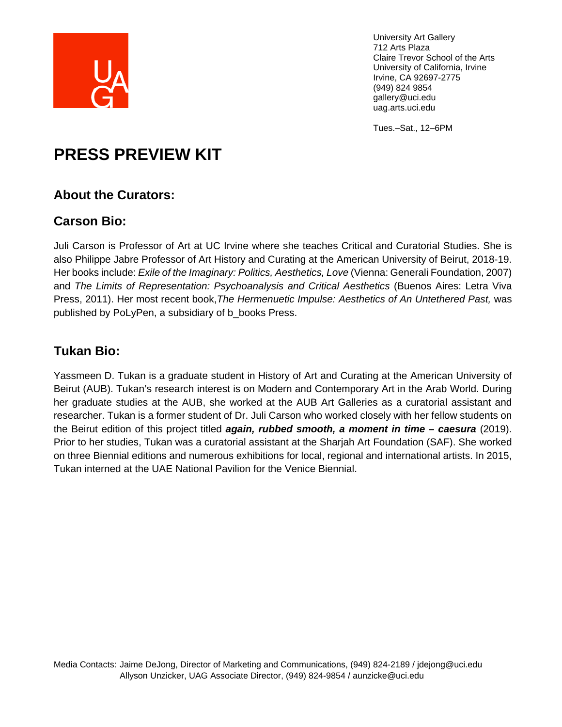

Tues.–Sat., 12–6PM

# **PRESS PREVIEW KIT**

## **About the Curators:**

## **Carson Bio:**

Juli Carson is Professor of Art at UC Irvine where she teaches Critical and Curatorial Studies. She is also Philippe Jabre Professor of Art History and Curating at the American University of Beirut, 2018-19. Her books include: *Exile of the Imaginary: Politics, Aesthetics, Love* (Vienna: Generali Foundation, 2007) and *The Limits of Representation: Psychoanalysis and Critical Aesthetics* (Buenos Aires: Letra Viva Press, 2011). Her most recent book,*The Hermenuetic Impulse: Aesthetics of An Untethered Past,* was published by PoLyPen, a subsidiary of b\_books Press.

# **Tukan Bio:**

Yassmeen D. Tukan is a graduate student in History of Art and Curating at the American University of Beirut (AUB). Tukan's research interest is on Modern and Contemporary Art in the Arab World. During her graduate studies at the AUB, she worked at the AUB Art Galleries as a curatorial assistant and researcher. Tukan is a former student of Dr. Juli Carson who worked closely with her fellow students on the Beirut edition of this project titled *again, rubbed smooth, a moment in time – caesura* (2019). Prior to her studies, Tukan was a curatorial assistant at the Sharjah Art Foundation (SAF). She worked on three Biennial editions and numerous exhibitions for local, regional and international artists. In 2015, Tukan interned at the UAE National Pavilion for the Venice Biennial.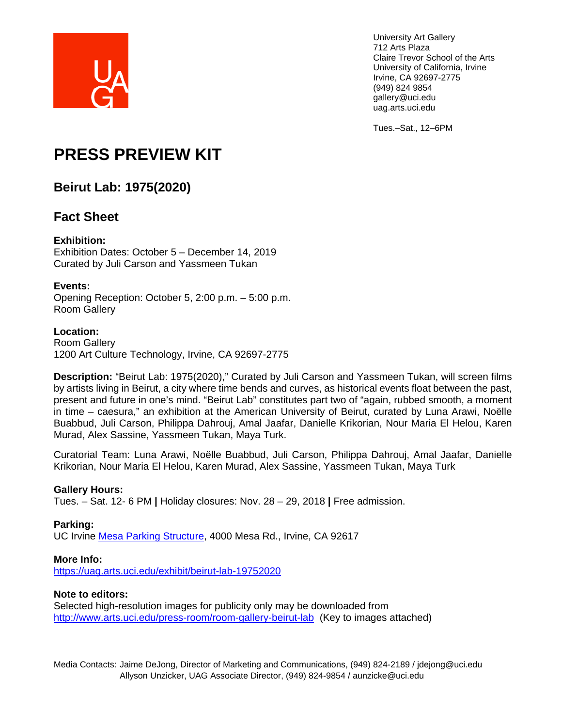

Tues.–Sat., 12–6PM

# **PRESS PREVIEW KIT**

## **Beirut Lab: 1975(2020)**

## **Fact Sheet**

### **Exhibition:**

Exhibition Dates: October 5 – December 14, 2019 Curated by Juli Carson and Yassmeen Tukan

### **Events:**

Opening Reception: October 5, 2:00 p.m. – 5:00 p.m. Room Gallery

### **Location:**

Room Gallery 1200 Art Culture Technology, Irvine, CA 92697-2775

**Description:** "Beirut Lab: 1975(2020)," Curated by Juli Carson and Yassmeen Tukan, will screen films by artists living in Beirut, a city where time bends and curves, as historical events float between the past, present and future in one's mind. "Beirut Lab" constitutes part two of "again, rubbed smooth, a moment in time – caesura," an exhibition at the American University of Beirut, curated by Luna Arawi, Noëlle Buabbud, Juli Carson, Philippa Dahrouj, Amal Jaafar, Danielle Krikorian, Nour Maria El Helou, Karen Murad, Alex Sassine, Yassmeen Tukan, Maya Turk.

Curatorial Team: Luna Arawi, Noëlle Buabbud, Juli Carson, Philippa Dahrouj, Amal Jaafar, Danielle Krikorian, Nour Maria El Helou, Karen Murad, Alex Sassine, Yassmeen Tukan, Maya Turk

### **Gallery Hours:**

Tues. – Sat. 12- 6 PM **|** Holiday closures: Nov. 28 – 29, 2018 **|** Free admission.

### **Parking:**

UC Irvine [Mesa Parking Structure,](https://www.google.com/maps/place/Claire+Trevor+School+of+the+Arts/@33.6503381,-117.8459542,18z/data=!4m5!3m4!1s0x0:0x947869cc6a68ba56!8m2!3d33.6503682!4d-117.8459638) 4000 Mesa Rd., Irvine, CA 92617

#### **More Info:**

<https://uag.arts.uci.edu/exhibit/beirut-lab-19752020>

#### **Note to editors:**

Selected high-resolution images for publicity only may be downloaded from <http://www.arts.uci.edu/press-room/room-gallery-beirut-lab>(Key to images attached)

Media Contacts: Jaime DeJong, Director of Marketing and Communications, (949) 824-2189 / jdejong@uci.edu Allyson Unzicker, UAG Associate Director, (949) 824-9854 / aunzicke@uci.edu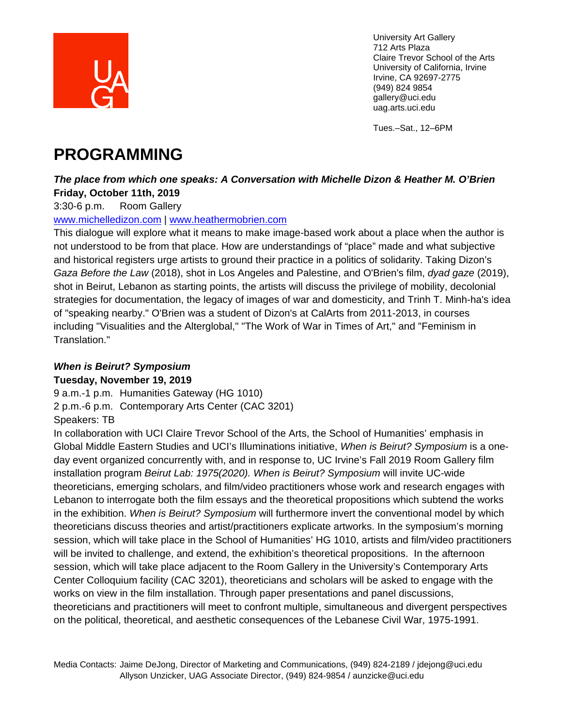

Tues.–Sat., 12–6PM

# **PROGRAMMING**

## *The place from which one speaks: A Conversation with Michelle Dizon & Heather M. O'Brien* **Friday, October 11th, 2019**

3:30-6 p.m. Room Gallery

## [www.michelledizon.com](http://www.michelledizon.com/) | [www.heathermobrien.com](http://www.heathermobrien.com/)

This dialogue will explore what it means to make image-based work about a place when the author is not understood to be from that place. How are understandings of "place" made and what subjective and historical registers urge artists to ground their practice in a politics of solidarity. Taking Dizon's *Gaza Before the Law* (2018), shot in Los Angeles and Palestine, and O'Brien's film, *dyad gaze* (2019), shot in Beirut, Lebanon as starting points, the artists will discuss the privilege of mobility, decolonial strategies for documentation, the legacy of images of war and domesticity, and Trinh T. Minh-ha's idea of "speaking nearby." O'Brien was a student of Dizon's at CalArts from 2011-2013, in courses including "Visualities and the Alterglobal," "The Work of War in Times of Art," and "Feminism in Translation."

# *When is Beirut? Symposium*

## **Tuesday, November 19, 2019**

9 a.m.-1 p.m. Humanities Gateway (HG 1010)

2 p.m.-6 p.m. Contemporary Arts Center (CAC 3201)

Speakers: TB

In collaboration with UCI Claire Trevor School of the Arts, the School of Humanities' emphasis in Global Middle Eastern Studies and UCI's Illuminations initiative, *When is Beirut? Symposium* is a oneday event organized concurrently with, and in response to, UC Irvine's Fall 2019 Room Gallery film installation program *Beirut Lab: 1975(2020). When is Beirut? Symposium* will invite UC-wide theoreticians, emerging scholars, and film/video practitioners whose work and research engages with Lebanon to interrogate both the film essays and the theoretical propositions which subtend the works in the exhibition. *When is Beirut? Symposium* will furthermore invert the conventional model by which theoreticians discuss theories and artist/practitioners explicate artworks. In the symposium's morning session, which will take place in the School of Humanities' HG 1010, artists and film/video practitioners will be invited to challenge, and extend, the exhibition's theoretical propositions. In the afternoon session, which will take place adjacent to the Room Gallery in the University's Contemporary Arts Center Colloquium facility (CAC 3201), theoreticians and scholars will be asked to engage with the works on view in the film installation. Through paper presentations and panel discussions, theoreticians and practitioners will meet to confront multiple, simultaneous and divergent perspectives on the political, theoretical, and aesthetic consequences of the Lebanese Civil War, 1975-1991.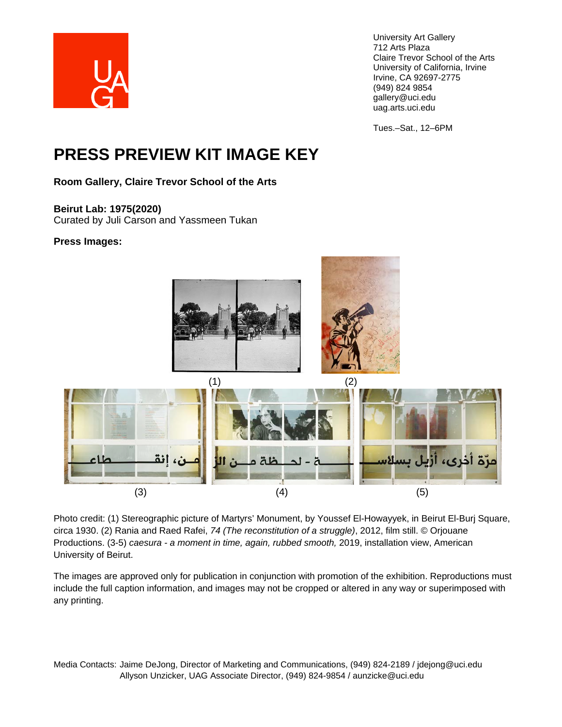

Tues.–Sat., 12–6PM

# **PRESS PREVIEW KIT IMAGE KEY**

**Room Gallery, Claire Trevor School of the Arts**

### **Beirut Lab: 1975(2020)**

Curated by Juli Carson and Yassmeen Tukan

### **Press Images:**



Photo credit: (1) Stereographic picture of Martyrs' Monument, by Youssef El-Howayyek, in Beirut El-Burj Square, circa 1930. (2) Rania and Raed Rafei, *74 (The reconstitution of a struggle)*, 2012, film still. © Orjouane Productions. (3-5) *caesura - a moment in time, again, rubbed smooth,* 2019, installation view, American University of Beirut.

The images are approved only for publication in conjunction with promotion of the exhibition. Reproductions must include the full caption information, and images may not be cropped or altered in any way or superimposed with any printing.

Media Contacts: Jaime DeJong, Director of Marketing and Communications, (949) 824-2189 / jdejong@uci.edu Allyson Unzicker, UAG Associate Director, (949) 824-9854 / aunzicke@uci.edu